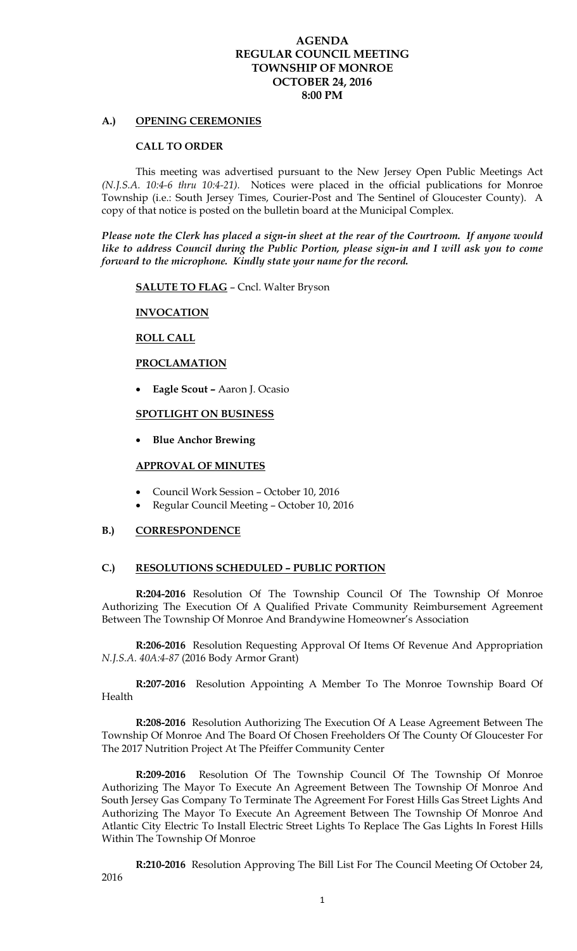## **AGENDA REGULAR COUNCIL MEETING TOWNSHIP OF MONROE OCTOBER 24, 2016 8:00 PM**

### **A.) OPENING CEREMONIES**

#### **CALL TO ORDER**

 This meeting was advertised pursuant to the New Jersey Open Public Meetings Act *(N.J.S.A. 10:4-6 thru 10:4-21).* Notices were placed in the official publications for Monroe Township (i.e.: South Jersey Times, Courier-Post and The Sentinel of Gloucester County). A copy of that notice is posted on the bulletin board at the Municipal Complex.

*Please note the Clerk has placed a sign-in sheet at the rear of the Courtroom. If anyone would like to address Council during the Public Portion, please sign-in and I will ask you to come forward to the microphone. Kindly state your name for the record.* 

**SALUTE TO FLAG** – Cncl. Walter Bryson

### **INVOCATION**

### **ROLL CALL**

## **PROCLAMATION**

**Eagle Scout –** Aaron J. Ocasio

### **SPOTLIGHT ON BUSINESS**

**Blue Anchor Brewing** 

### **APPROVAL OF MINUTES**

- Council Work Session October 10, 2016
- Regular Council Meeting October 10, 2016

### **B.) CORRESPONDENCE**

#### **C.) RESOLUTIONS SCHEDULED – PUBLIC PORTION**

**R:204-2016** Resolution Of The Township Council Of The Township Of Monroe Authorizing The Execution Of A Qualified Private Community Reimbursement Agreement Between The Township Of Monroe And Brandywine Homeowner's Association

 **R:206-2016** Resolution Requesting Approval Of Items Of Revenue And Appropriation *N.J.S.A. 40A:4-87* (2016 Body Armor Grant)

**R:207-2016** Resolution Appointing A Member To The Monroe Township Board Of Health

**R:208-2016** Resolution Authorizing The Execution Of A Lease Agreement Between The Township Of Monroe And The Board Of Chosen Freeholders Of The County Of Gloucester For The 2017 Nutrition Project At The Pfeiffer Community Center

**R:209-2016** Resolution Of The Township Council Of The Township Of Monroe Authorizing The Mayor To Execute An Agreement Between The Township Of Monroe And South Jersey Gas Company To Terminate The Agreement For Forest Hills Gas Street Lights And Authorizing The Mayor To Execute An Agreement Between The Township Of Monroe And Atlantic City Electric To Install Electric Street Lights To Replace The Gas Lights In Forest Hills Within The Township Of Monroe

**R:210-2016** Resolution Approving The Bill List For The Council Meeting Of October 24, 2016